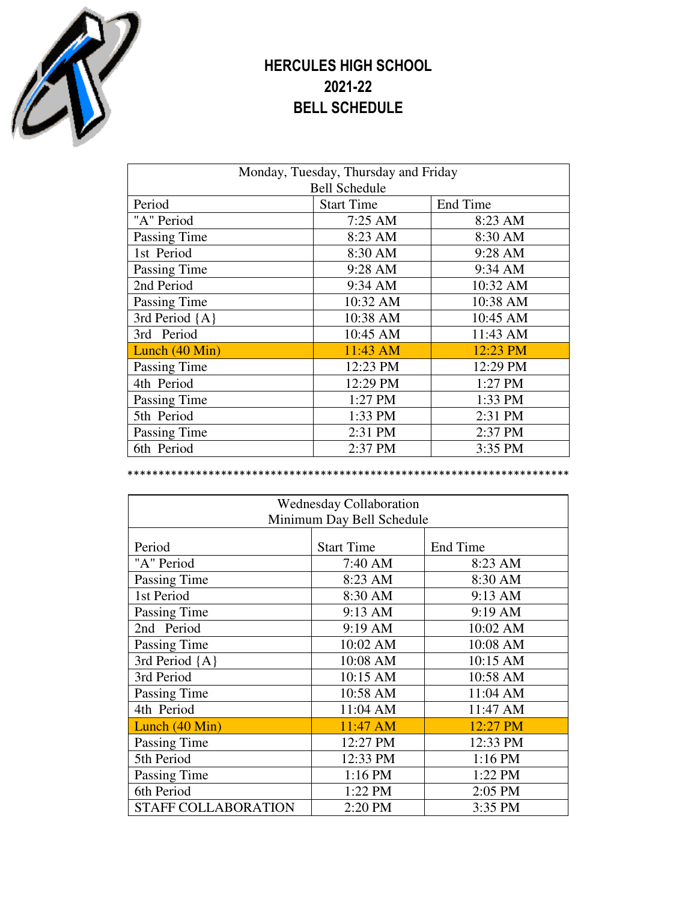

## **HERCULES HIGH SCHOOL 2021-22 BELL SCHEDULE**

| Monday, Tuesday, Thursday and Friday |                   |          |  |
|--------------------------------------|-------------------|----------|--|
| <b>Bell Schedule</b>                 |                   |          |  |
| Period                               | <b>Start Time</b> | End Time |  |
| "A" Period                           | $7:25$ AM         | 8:23 AM  |  |
| Passing Time                         | 8:23 AM           | 8:30 AM  |  |
| 1st Period                           | 8:30 AM           | 9:28 AM  |  |
| Passing Time                         | 9:28 AM           | 9:34 AM  |  |
| 2nd Period                           | 9:34 AM           | 10:32 AM |  |
| Passing Time                         | 10:32 AM          | 10:38 AM |  |
| 3rd Period {A}                       | 10:38 AM          | 10:45 AM |  |
| 3rd Period                           | 10:45 AM          | 11:43 AM |  |
| Lunch (40 Min)                       | 11:43 AM          | 12:23 PM |  |
| Passing Time                         | 12:23 PM          | 12:29 PM |  |
| 4th Period                           | 12:29 PM          | 1:27 PM  |  |
| Passing Time                         | 1:27 PM           | 1:33 PM  |  |
| 5th Period                           | 1:33 PM           | 2:31 PM  |  |
| Passing Time                         | 2:31 PM           | 2:37 PM  |  |
| 6th Period                           | 2:37 PM           | 3:35 PM  |  |

\*\*\*\*\*\*\*\*\*\*\*\*\*\*\*\*\*\*\*\*\*\*\*\*\*\*\*\*\*\*\*\*\*\*\*\*\*\*\*\*\*\*\*\*\*\*\*\*\*\*\*\*\*\*\*\*\*\*\*\*\*\*\*\*\*\*\*\*\*\*\*

| <b>Wednesday Collaboration</b> |                   |          |  |  |
|--------------------------------|-------------------|----------|--|--|
| Minimum Day Bell Schedule      |                   |          |  |  |
| Period                         | <b>Start Time</b> | End Time |  |  |
| "A" Period                     | 7:40 AM           | 8:23 AM  |  |  |
| Passing Time                   | 8:23 AM           | 8:30 AM  |  |  |
| 1st Period                     | 8:30 AM           | 9:13 AM  |  |  |
| Passing Time                   | 9:13 AM           | 9:19 AM  |  |  |
| 2nd Period                     | 9:19 AM           | 10:02 AM |  |  |
| Passing Time                   | 10:02 AM          | 10:08 AM |  |  |
| 3rd Period {A}                 | 10:08 AM          | 10:15 AM |  |  |
| 3rd Period                     | 10:15 AM          | 10:58 AM |  |  |
| Passing Time                   | 10:58 AM          | 11:04 AM |  |  |
| 4th Period                     | 11:04 AM          | 11:47 AM |  |  |
| Lunch (40 Min)                 | 11:47 AM          | 12:27 PM |  |  |
| Passing Time                   | 12:27 PM          | 12:33 PM |  |  |
| 5th Period                     | 12:33 PM          | 1:16 PM  |  |  |
| Passing Time                   | 1:16 PM           | 1:22 PM  |  |  |
| 6th Period                     | 1:22 PM           | 2:05 PM  |  |  |
| <b>STAFF COLLABORATION</b>     | 2:20 PM           | 3:35 PM  |  |  |